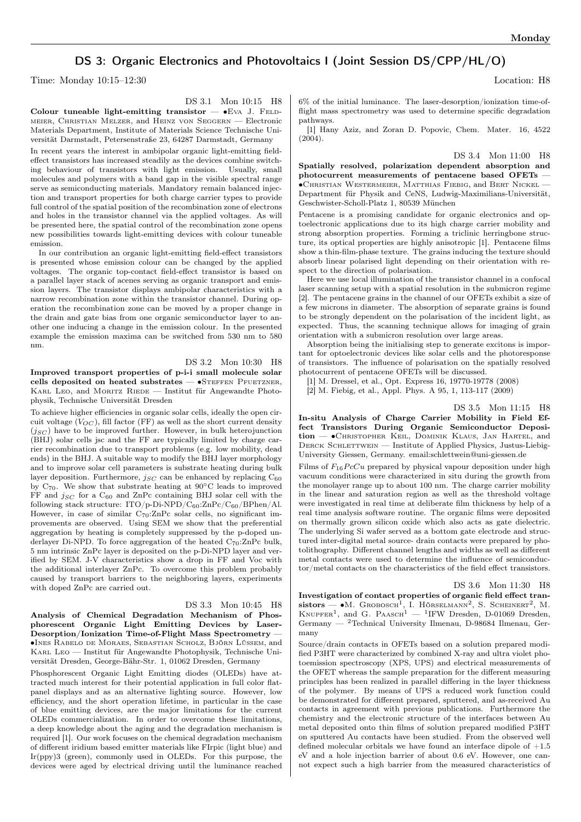## DS 3: Organic Electronics and Photovoltaics I (Joint Session DS/CPP/HL/O)

Time: Monday 10:15–12:30 Location: H8

DS 3.1 Mon 10:15 H8

Colour tuneable light-emitting transistor —  $•EVA$  J. FELDmeier, Christian Melzer, and Heinz von Seggern — Electronic Materials Department, Institute of Materials Science Technische Universität Darmstadt, Petersenstraße 23, 64287 Darmstadt, Germany

In recent years the interest in ambipolar organic light-emitting fieldeffect transistors has increased steadily as the devices combine switching behaviour of transistors with light emission. Usually, small molecules and polymers with a band gap in the visible spectral range serve as semiconducting materials. Mandatory remain balanced injection and transport properties for both charge carrier types to provide full control of the spatial position of the recombination zone of electrons and holes in the transistor channel via the applied voltages. As will be presented here, the spatial control of the recombination zone opens new possibilities towards light-emitting devices with colour tuneable emission.

In our contribution an organic light-emitting field-effect transistors is presented whose emission colour can be changed by the applied voltages. The organic top-contact field-effect transistor is based on a parallel layer stack of acenes serving as organic transport and emission layers. The transistor displays ambipolar characteristics with a narrow recombination zone within the transistor channel. During operation the recombination zone can be moved by a proper change in the drain and gate bias from one organic semiconductor layer to another one inducing a change in the emission colour. In the presented example the emission maxima can be switched from 530 nm to 580 nm.

DS 3.2 Mon 10:30 H8 Improved transport properties of p-i-i small molecule solar cells deposited on heated substrates — ∙Steffen Pfuetzner, KARL LEO, and MORITZ  $R$ IEDE — Institut für Angewandte Photophysik, Technische Universität Dresden

To achieve higher efficiencies in organic solar cells, ideally the open circuit voltage  $(V_{OC})$ , fill factor (FF) as well as the short current density  $(j<sub>SC</sub>)$  have to be improved further. However, in bulk heterojunction (BHJ) solar cells jsc and the FF are typically limited by charge carrier recombination due to transport problems (e.g. low mobility, dead ends) in the BHJ. A suitable way to modify the BHJ layer morphology and to improve solar cell parameters is substrate heating during bulk layer deposition. Furthermore,  $i_{SC}$  can be enhanced by replacing  $C_{60}$ by C70. We show that substrate heating at 90∘C leads to improved FF and  $j_{SC}$  for a  $C_{60}$  and ZnPc containing BHJ solar cell with the following stack structure:  $\text{ITO}/\text{p-Di-NPD}/\text{C}_{60}:\text{ZnPc}/\text{C}_{60}/\text{BPhen}/\text{Al}.$ However, in case of similar  $C_{70}$ : ZnPc solar cells, no significant improvements are observed. Using SEM we show that the preferential aggregation by heating is completely suppressed by the p-doped underlayer Di-NPD. To force aggregation of the heated  $C_{70}$ : ZnPc bulk, 5 nm intrinsic ZnPc layer is deposited on the p-Di-NPD layer and verified by SEM. J-V characteristics show a drop in FF and Voc with the additional interlayer ZnPc. To overcome this problem probably caused by transport barriers to the neighboring layers, experiments with doped ZnPc are carried out.

DS 3.3 Mon 10:45 H8 Analysis of Chemical Degradation Mechanism of Phosphorescent Organic Light Emitting Devices by Laser-Desorption/Ionization Time-of-Flight Mass Spectrometry — ∙Ines Rabelo de Moraes, Sebastian Scholz, Björn Lüssem, and Karl Leo — Institut für Angewandte Photophysik, Technische Universität Dresden, George-Bähr-Str. 1, 01062 Dresden, Germany

Phosphorescent Organic Light Emitting diodes (OLEDs) have attracted much interest for their potential application in full color flatpanel displays and as an alternative lighting source. However, low efficiency, and the short operation lifetime, in particular in the case of blue emitting devices, are the major limitations for the current OLEDs commercialization. In order to overcome these limitations, a deep knowledge about the aging and the degradation mechanism is required [1]. Our work focuses on the chemical degradation mechanism of different iridium based emitter materials like FIrpic (light blue) and Ir(ppy)3 (green), commonly used in OLEDs. For this purpose, the devices were aged by electrical driving until the luminance reached 6% of the initial luminance. The laser-desorption/ionization time-offlight mass spectrometry was used to determine specific degradation pathways.

[1] Hany Aziz, and Zoran D. Popovic, Chem. Mater. 16, 4522 (2004).

DS 3.4 Mon 11:00 H8

Spatially resolved, polarization dependent absorption and photocurrent measurements of pentacene based OFETs — ∙Christian Westermeier, Matthias Fiebig, and Bert Nickel — Department für Physik and CeNS, Ludwig-Maximilians-Universität, Geschwister-Scholl-Platz 1, 80539 München

Pentacene is a promising candidate for organic electronics and optoelectronic applications due to its high charge carrier mobility and strong absorption properties. Forming a triclinic herringbone structure, its optical properties are highly anisotropic [1]. Pentacene films show a thin-film-phase texture. The grains inducing the texture should absorb linear polarised light depending on their orientation with respect to the direction of polarisation.

Here we use local illumination of the transistor channel in a confocal laser scanning setup with a spatial resolution in the submicron regime [2]. The pentacene grains in the channel of our OFETs exhibit a size of a few microns in diameter. The absorption of separate grains is found to be strongly dependent on the polarisation of the incident light, as expected. Thus, the scanning technique allows for imaging of grain orientation with a submicron resolution over large areas.

Absorption being the initialising step to generate excitons is important for optoelectronic devices like solar cells and the photoresponse of transistors. The influence of polarisation on the spatially resolved photocurrent of pentacene OFETs will be discussed.

[1] M. Dressel, et al., Opt. Express 16, 19770-19778 (2008)

[2] M. Fiebig, et al., Appl. Phys. A 95, 1, 113-117 (2009)

DS 3.5 Mon 11:15 H8

In-situ Analysis of Charge Carrier Mobility in Field Effect Transistors During Organic Semiconductor Deposition — ∙Christopher Keil, Dominik Klaus, Jan Hartel, and DERCK SCHLETTWEIN — Institute of Applied Physics, Justus-Liebig-University Giessen, Germany. email:schlettwein@uni-giessen.de

Films of  $F_{16}PcCu$  prepared by physical vapour deposition under high vacuum conditions were characterized in situ during the growth from the monolayer range up to about 100 nm. The charge carrier mobility in the linear and saturation region as well as the threshold voltage were investigated in real time at deliberate film thickness by help of a real time analysis software routine. The organic films were deposited on thermally grown silicon oxide which also acts as gate dielectric. The underlying Si wafer served as a bottom gate electrode and structured inter-digital metal source- drain contacts were prepared by photolithography. Different channel lengths and widths as well as different metal contacts were used to determine the influence of semiconductor/metal contacts on the characteristics of the field effect transistors.

DS 3.6 Mon 11:30 H8

Investigation of contact properties of organic field effect tran $sistors$  — •M. Grobosch<sup>1</sup>, I. Hörselmann<sup>2</sup>, S. Scheinert<sup>2</sup>, M.  $K$ NUPFER<sup>1</sup>, and G. PAASCH<sup>1</sup> - <sup>1</sup>IFW Dresden, D-01069 Dresden, Germany — <sup>2</sup>Technical University Ilmenau, D-98684 Ilmenau, Germany

Source/drain contacts in OFETs based on a solution prepared modified P3HT were characterized by combined X-ray and ultra violet photoemission spectroscopy (XPS, UPS) and electrical measurements of the OFET whereas the sample preparation for the different measuring principles has been realized in parallel differing in the layer thickness of the polymer. By means of UPS a reduced work function could be demonstrated for different prepared, sputtered, and as-received Au contacts in agreement with previous publications. Furthermore the chemistry and the electronic structure of the interfaces between Au metal deposited onto thin films of solution prepared modified P3HT on sputtered Au contacts have been studied. From the observed well defined molecular orbitals we have found an interface dipole of  $+1.5$ eV and a hole injection barrier of about 0.6 eV. However, one cannot expect such a high barrier from the measured characteristics of